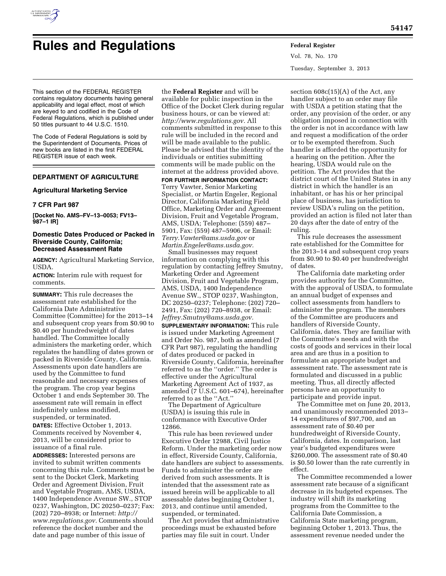

# **Rules and Regulations Federal Register**

Vol. 78, No. 170 Tuesday, September 3, 2013

This section of the FEDERAL REGISTER contains regulatory documents having general applicability and legal effect, most of which are keyed to and codified in the Code of Federal Regulations, which is published under 50 titles pursuant to 44 U.S.C. 1510.

The Code of Federal Regulations is sold by the Superintendent of Documents. Prices of new books are listed in the first FEDERAL REGISTER issue of each week.

# **DEPARTMENT OF AGRICULTURE**

## **Agricultural Marketing Service**

# **7 CFR Part 987**

**[Docket No. AMS–FV–13–0053; FV13– 987–1 IR]** 

# **Domestic Dates Produced or Packed in Riverside County, California; Decreased Assessment Rate**

**AGENCY:** Agricultural Marketing Service, USDA.

**ACTION:** Interim rule with request for comments.

**SUMMARY:** This rule decreases the assessment rate established for the California Date Administrative Committee (Committee) for the 2013–14 and subsequent crop years from \$0.90 to \$0.40 per hundredweight of dates handled. The Committee locally administers the marketing order, which regulates the handling of dates grown or packed in Riverside County, California. Assessments upon date handlers are used by the Committee to fund reasonable and necessary expenses of the program. The crop year begins October 1 and ends September 30. The assessment rate will remain in effect indefinitely unless modified, suspended, or terminated.

**DATES:** Effective October 1, 2013. Comments received by November 4, 2013, will be considered prior to issuance of a final rule.

**ADDRESSES:** Interested persons are invited to submit written comments concerning this rule. Comments must be sent to the Docket Clerk, Marketing Order and Agreement Division, Fruit and Vegetable Program, AMS, USDA, 1400 Independence Avenue SW., STOP 0237, Washington, DC 20250–0237; Fax: (202) 720–8938; or Internet: *[http://](http://www.regulations.gov) [www.regulations.gov.](http://www.regulations.gov)* Comments should reference the docket number and the date and page number of this issue of

the **Federal Register** and will be available for public inspection in the Office of the Docket Clerk during regular business hours, or can be viewed at: *[http://www.regulations.gov.](http://www.regulations.gov)* All comments submitted in response to this rule will be included in the record and will be made available to the public. Please be advised that the identity of the individuals or entities submitting comments will be made public on the internet at the address provided above.

**FOR FURTHER INFORMATION CONTACT:**  Terry Vawter, Senior Marketing Specialist, or Martin Engeler, Regional Director, California Marketing Field Office, Marketing Order and Agreement Division, Fruit and Vegetable Program, AMS, USDA; Telephone: (559) 487– 5901, Fax: (559) 487–5906, or Email: *[Terry.Vawter@ams.usda.gov](mailto:Terry.Vawter@ams.usda.gov)* or *[Martin.Engeler@ams.usda.gov.](mailto:Martin.Engeler@ams.usda.gov)* 

Small businesses may request information on complying with this regulation by contacting Jeffrey Smutny, Marketing Order and Agreement Division, Fruit and Vegetable Program, AMS, USDA, 1400 Independence Avenue SW., STOP 0237, Washington, DC 20250–0237; Telephone: (202) 720– 2491, Fax: (202) 720–8938, or Email: *[Jeffrey.Smutny@ams.usda.gov.](mailto:Jeffrey.Smutny@ams.usda.gov)* 

**SUPPLEMENTARY INFORMATION:** This rule is issued under Marketing Agreement and Order No. 987, both as amended (7 CFR Part 987), regulating the handling of dates produced or packed in Riverside County, California, hereinafter referred to as the ''order.'' The order is effective under the Agricultural Marketing Agreement Act of 1937, as amended (7 U.S.C. 601–674), hereinafter referred to as the ''Act.''

The Department of Agriculture (USDA) is issuing this rule in conformance with Executive Order 12866.

This rule has been reviewed under Executive Order 12988, Civil Justice Reform. Under the marketing order now in effect, Riverside County, California, date handlers are subject to assessments. Funds to administer the order are derived from such assessments. It is intended that the assessment rate as issued herein will be applicable to all assessable dates beginning October 1, 2013, and continue until amended, suspended, or terminated.

The Act provides that administrative proceedings must be exhausted before parties may file suit in court. Under

section 608c(15)(A) of the Act, any handler subject to an order may file with USDA a petition stating that the order, any provision of the order, or any obligation imposed in connection with the order is not in accordance with law and request a modification of the order or to be exempted therefrom. Such handler is afforded the opportunity for a hearing on the petition. After the hearing, USDA would rule on the petition. The Act provides that the district court of the United States in any district in which the handler is an inhabitant, or has his or her principal place of business, has jurisdiction to review USDA's ruling on the petition, provided an action is filed not later than 20 days after the date of entry of the ruling.

This rule decreases the assessment rate established for the Committee for the 2013–14 and subsequent crop years from \$0.90 to \$0.40 per hundredweight of dates.

The California date marketing order provides authority for the Committee, with the approval of USDA, to formulate an annual budget of expenses and collect assessments from handlers to administer the program. The members of the Committee are producers and handlers of Riverside County, California, dates. They are familiar with the Committee's needs and with the costs of goods and services in their local area and are thus in a position to formulate an appropriate budget and assessment rate. The assessment rate is formulated and discussed in a public meeting. Thus, all directly affected persons have an opportunity to participate and provide input.

The Committee met on June 20, 2013, and unanimously recommended 2013– 14 expenditures of \$97,700, and an assessment rate of \$0.40 per hundredweight of Riverside County, California, dates. In comparison, last year's budgeted expenditures were \$260,000. The assessment rate of \$0.40 is \$0.50 lower than the rate currently in effect.

The Committee recommended a lower assessment rate because of a significant decrease in its budgeted expenses. The industry will shift its marketing programs from the Committee to the California Date Commission, a California State marketing program, beginning October 1, 2013. Thus, the assessment revenue needed under the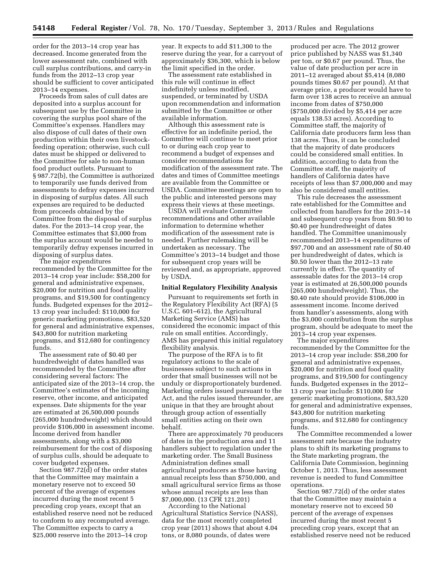order for the 2013–14 crop year has decreased. Income generated from the lower assessment rate, combined with cull surplus contributions, and carry-in funds from the 2012–13 crop year should be sufficient to cover anticipated 2013–14 expenses.

Proceeds from sales of cull dates are deposited into a surplus account for subsequent use by the Committee in covering the surplus pool share of the Committee's expenses. Handlers may also dispose of cull dates of their own production within their own livestockfeeding operation; otherwise, such cull dates must be shipped or delivered to the Committee for sale to non-human food product outlets. Pursuant to § 987.72(b), the Committee is authorized to temporarily use funds derived from assessments to defray expenses incurred in disposing of surplus dates. All such expenses are required to be deducted from proceeds obtained by the Committee from the disposal of surplus dates. For the 2013–14 crop year, the Committee estimates that \$3,000 from the surplus account would be needed to temporarily defray expenses incurred in disposing of surplus dates.

The major expenditures recommended by the Committee for the 2013–14 crop year include: \$58,200 for general and administrative expenses, \$20,000 for nutrition and food quality programs, and \$19,500 for contingency funds. Budgeted expenses for the 2012– 13 crop year included: \$110,000 for generic marketing promotions, \$83,520 for general and administrative expenses, \$43,800 for nutrition marketing programs, and \$12,680 for contingency funds.

The assessment rate of \$0.40 per hundredweight of dates handled was recommended by the Committee after considering several factors: The anticipated size of the 2013–14 crop, the Committee's estimates of the incoming reserve, other income, and anticipated expenses. Date shipments for the year are estimated at 26,500,000 pounds (265,000 hundredweight) which should provide \$106,000 in assessment income. Income derived from handler assessments, along with a \$3,000 reimbursement for the cost of disposing of surplus culls, should be adequate to cover budgeted expenses.

Section 987.72(d) of the order states that the Committee may maintain a monetary reserve not to exceed 50 percent of the average of expenses incurred during the most recent 5 preceding crop years, except that an established reserve need not be reduced to conform to any recomputed average. The Committee expects to carry a \$25,000 reserve into the 2013–14 crop

year. It expects to add \$11,300 to the reserve during the year, for a carryout of approximately \$36,300, which is below the limit specified in the order.

The assessment rate established in this rule will continue in effect indefinitely unless modified, suspended, or terminated by USDA upon recommendation and information submitted by the Committee or other available information.

Although this assessment rate is effective for an indefinite period, the Committee will continue to meet prior to or during each crop year to recommend a budget of expenses and consider recommendations for modification of the assessment rate. The dates and times of Committee meetings are available from the Committee or USDA. Committee meetings are open to the public and interested persons may express their views at these meetings.

USDA will evaluate Committee recommendations and other available information to determine whether modification of the assessment rate is needed. Further rulemaking will be undertaken as necessary. The Committee's 2013–14 budget and those for subsequent crop years will be reviewed and, as appropriate, approved by USDA.

# **Initial Regulatory Flexibility Analysis**

Pursuant to requirements set forth in the Regulatory Flexibility Act (RFA) (5 U.S.C. 601–612), the Agricultural Marketing Service (AMS) has considered the economic impact of this rule on small entities. Accordingly, AMS has prepared this initial regulatory flexibility analysis.

The purpose of the RFA is to fit regulatory actions to the scale of businesses subject to such actions in order that small businesses will not be unduly or disproportionately burdened. Marketing orders issued pursuant to the Act, and the rules issued thereunder, are unique in that they are brought about through group action of essentially small entities acting on their own behalf.

There are approximately 70 producers of dates in the production area and 11 handlers subject to regulation under the marketing order. The Small Business Administration defines small agricultural producers as those having annual receipts less than \$750,000, and small agricultural service firms as those whose annual receipts are less than \$7,000,000. (13 CFR 121.201)

According to the National Agricultural Statistics Service (NASS), data for the most recently completed crop year (2011) shows that about 4.04 tons, or 8,080 pounds, of dates were

produced per acre. The 2012 grower price published by NASS was \$1,340 per ton, or \$0.67 per pound. Thus, the value of date production per acre in 2011–12 averaged about \$5,414 (8,080 pounds times \$0.67 per pound). At that average price, a producer would have to farm over 138 acres to receive an annual income from dates of \$750,000 (\$750,000 divided by \$5,414 per acre equals 138.53 acres). According to Committee staff, the majority of California date producers farm less than 138 acres. Thus, it can be concluded that the majority of date producers could be considered small entities. In addition, according to data from the Committee staff, the majority of handlers of California dates have receipts of less than \$7,000,000 and may also be considered small entities.

This rule decreases the assessment rate established for the Committee and collected from handlers for the 2013–14 and subsequent crop years from \$0.90 to \$0.40 per hundredweight of dates handled. The Committee unanimously recommended 2013–14 expenditures of \$97,700 and an assessment rate of \$0.40 per hundredweight of dates, which is \$0.50 lower than the 2012–13 rate currently in effect. The quantity of assessable dates for the 2013–14 crop year is estimated at 26,500,000 pounds (265,000 hundredweight). Thus, the \$0.40 rate should provide \$106,000 in assessment income. Income derived from handler's assessments, along with the \$3,000 contribution from the surplus program, should be adequate to meet the 2013–14 crop year expenses.

The major expenditures recommended by the Committee for the 2013–14 crop year include: \$58,200 for general and administrative expenses, \$20,000 for nutrition and food quality programs, and \$19,500 for contingency funds. Budgeted expenses in the 2012– 13 crop year include: \$110,000 for generic marketing promotions, \$83,520 for general and administrative expenses, \$43,800 for nutrition marketing programs, and \$12,680 for contingency funds.

The Committee recommended a lower assessment rate because the industry plans to shift its marketing programs to the State marketing program, the California Date Commission, beginning October 1, 2013. Thus, less assessment revenue is needed to fund Committee operations.

Section 987.72(d) of the order states that the Committee may maintain a monetary reserve not to exceed 50 percent of the average of expenses incurred during the most recent 5 preceding crop years, except that an established reserve need not be reduced